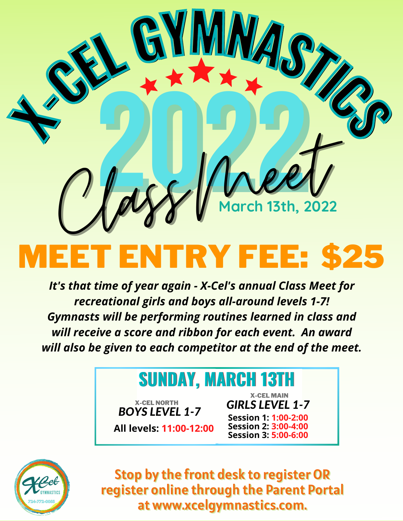

## MEET ENTRY FEE: \$25

*It's that time of year again - X-Cel's annual Class Meet for recreational girls and boys all-around levels 1-7! Gymnasts will be performing routines learned in class and will receive a score and ribbon for each event. An award will also be given to each competitor at the end of the meet.*

## **SUNDAY, MARCH 13TH**

**All levels: 11:00-12:00** *BOYS LEVEL 1-7* X-CEL NORTH

**Session 1: 1:00-2:00 Session 2: 3:00-4:00 Session 3: 5:00-6:00** *GIRLS LEVEL 1-7* X-CEL MAIN



Stop by the front desk to register OR register online through the Parent Portal at www.xcelgymnastics.com.